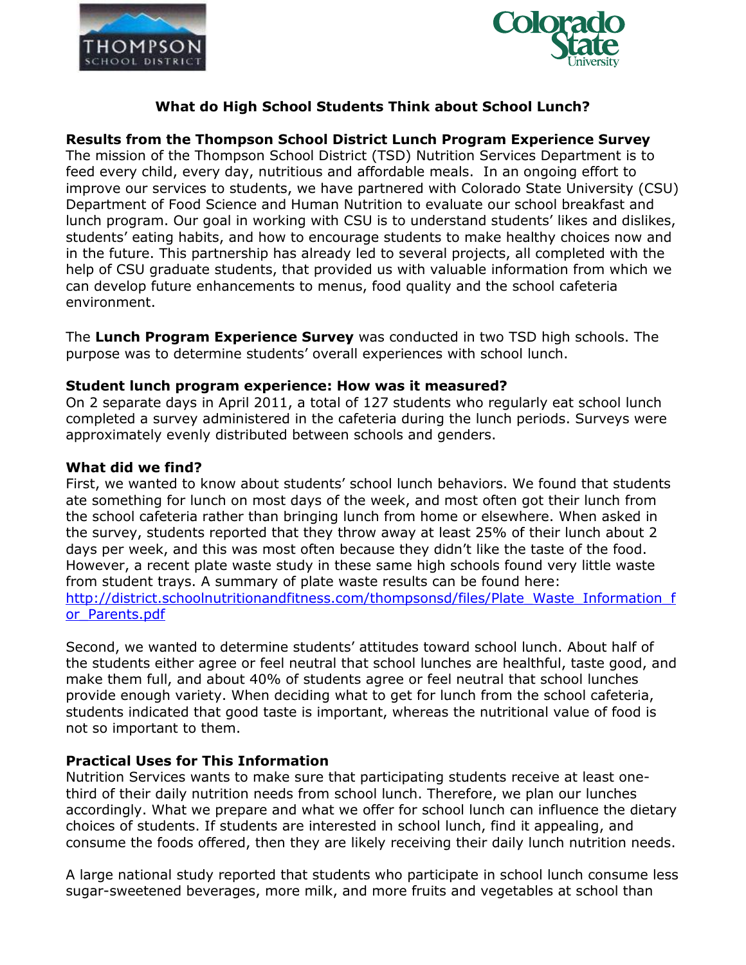



## **What do High School Students Think about School Lunch?**

**Results from the Thompson School District Lunch Program Experience Survey**

The mission of the Thompson School District (TSD) Nutrition Services Department is to feed every child, every day, nutritious and affordable meals. In an ongoing effort to improve our services to students, we have partnered with Colorado State University (CSU) Department of Food Science and Human Nutrition to evaluate our school breakfast and lunch program. Our goal in working with CSU is to understand students' likes and dislikes, students' eating habits, and how to encourage students to make healthy choices now and in the future. This partnership has already led to several projects, all completed with the help of CSU graduate students, that provided us with valuable information from which we can develop future enhancements to menus, food quality and the school cafeteria environment.

The **Lunch Program Experience Survey** was conducted in two TSD high schools. The purpose was to determine students' overall experiences with school lunch.

### **Student lunch program experience: How was it measured?**

On 2 separate days in April 2011, a total of 127 students who regularly eat school lunch completed a survey administered in the cafeteria during the lunch periods. Surveys were approximately evenly distributed between schools and genders.

### **What did we find?**

First, we wanted to know about students' school lunch behaviors. We found that students ate something for lunch on most days of the week, and most often got their lunch from the school cafeteria rather than bringing lunch from home or elsewhere. When asked in the survey, students reported that they throw away at least 25% of their lunch about 2 days per week, and this was most often because they didn't like the taste of the food. However, a recent plate waste study in these same high schools found very little waste from student trays. A summary of plate waste results can be found here: [http://district.schoolnutritionandfitness.com/thompsonsd/files/Plate\\_Waste\\_Information\\_f](http://district.schoolnutritionandfitness.com/thompsonsd/files/Plate_Waste_Information_for_Parents.pdf) or Parents.pdf

Second, we wanted to determine students' attitudes toward school lunch. About half of the students either agree or feel neutral that school lunches are healthful, taste good, and make them full, and about 40% of students agree or feel neutral that school lunches provide enough variety. When deciding what to get for lunch from the school cafeteria, students indicated that good taste is important, whereas the nutritional value of food is not so important to them.

### **Practical Uses for This Information**

Nutrition Services wants to make sure that participating students receive at least onethird of their daily nutrition needs from school lunch. Therefore, we plan our lunches accordingly. What we prepare and what we offer for school lunch can influence the dietary choices of students. If students are interested in school lunch, find it appealing, and consume the foods offered, then they are likely receiving their daily lunch nutrition needs.

A large national study reported that students who participate in school lunch consume less sugar-sweetened beverages, more milk, and more fruits and vegetables at school than